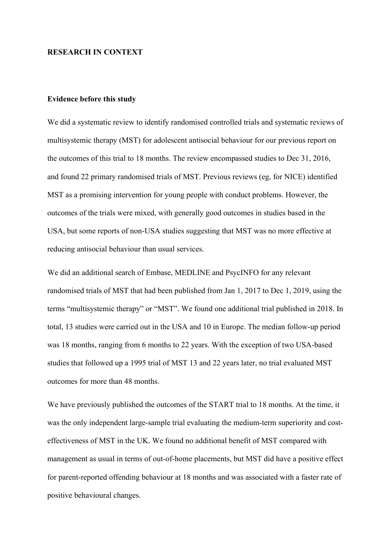## **RESEARCH IN CONTEXT**

## **Evidence before this study**

We did a systematic review to identify randomised controlled trials and systematic reviews of multisystemic therapy (MST) for adolescent antisocial behaviour for our previous report on the outcomes of this trial to 18 months. The review encompassed studies to Dec 31, 2016, and found 22 primary randomised trials of MST. Previous reviews (eg, for NICE) identified MST as a promising intervention for young people with conduct problems. However, the outcomes of the trials were mixed, with generally good outcomes in studies based in the USA, but some reports of non-USA studies suggesting that MST was no more effective at reducing antisocial behaviour than usual services.

We did an additional search of Embase, MEDLINE and PsycINFO for any relevant randomised trials of MST that had been published from Jan 1, 2017 to Dec 1, 2019, using the terms "multisystemic therapy" or "MST". We found one additional trial published in 2018. In total, 13 studies were carried out in the USA and 10 in Europe. The median follow-up period was 18 months, ranging from 6 months to 22 years. With the exception of two USA-based studies that followed up a 1995 trial of MST 13 and 22 years later, no trial evaluated MST outcomes for more than 48 months.

We have previously published the outcomes of the START trial to 18 months. At the time, it was the only independent large-sample trial evaluating the medium-term superiority and costeffectiveness of MST in the UK. We found no additional benefit of MST compared with management as usual in terms of out-of-home placements, but MST did have a positive effect for parent-reported offending behaviour at 18 months and was associated with a faster rate of positive behavioural changes.